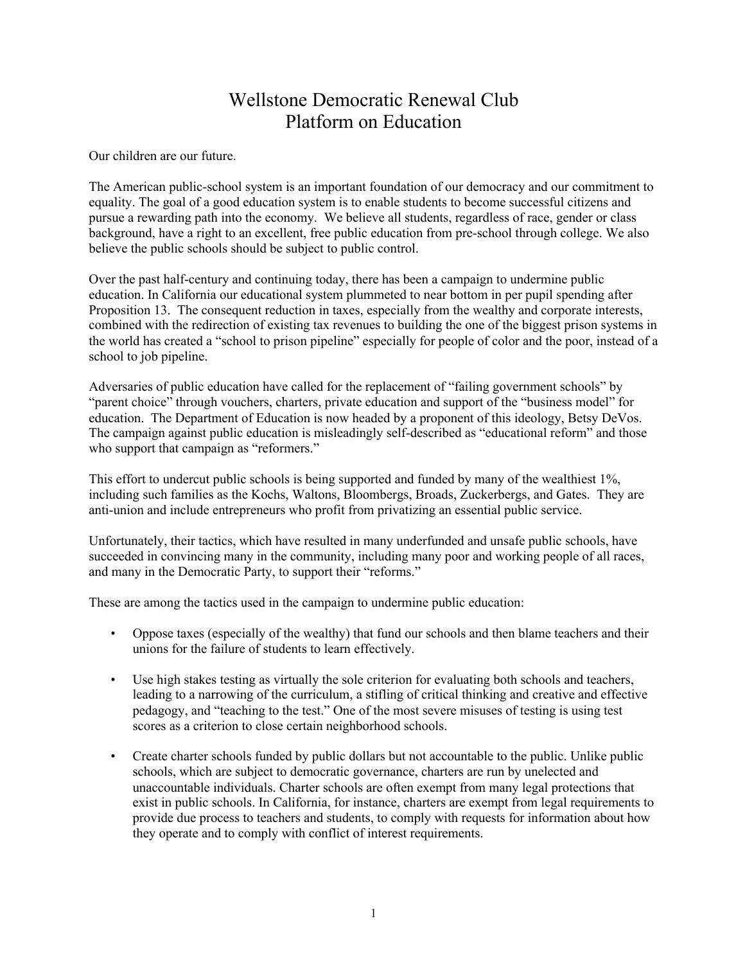## Wellstone Democratic Renewal Club Platform on Education

Our children are our future.

The American public-school system is an important foundation of our democracy and our commitment to equality. The goal of a good education system is to enable students to become successful citizens and pursue a rewarding path into the economy. We believe all students, regardless of race, gender or class background, have a right to an excellent, free public education from pre-school through college. We also believe the public schools should be subject to public control.

Over the past half-century and continuing today, there has been a campaign to undermine public education. In California our educational system plummeted to near bottom in per pupil spending after Proposition 13. The consequent reduction in taxes, especially from the wealthy and corporate interests, combined with the redirection of existing tax revenues to building the one of the biggest prison systems in the world has created a "school to prison pipeline" especially for people of color and the poor, instead of a school to job pipeline.

Adversaries of public education have called for the replacement of "failing government schools" by "parent choice" through vouchers, charters, private education and support of the "business model" for education. The Department of Education is now headed by a proponent of this ideology, Betsy DeVos. The campaign against public education is misleadingly self-described as "educational reform" and those who support that campaign as "reformers."

This effort to undercut public schools is being supported and funded by many of the wealthiest 1%, including such families as the Kochs, Waltons, Bloombergs, Broads, Zuckerbergs, and Gates. They are anti-union and include entrepreneurs who profit from privatizing an essential public service.

Unfortunately, their tactics, which have resulted in many underfunded and unsafe public schools, have succeeded in convincing many in the community, including many poor and working people of all races, and many in the Democratic Party, to support their "reforms."

These are among the tactics used in the campaign to undermine public education:

- Oppose taxes (especially of the wealthy) that fund our schools and then blame teachers and their unions for the failure of students to learn effectively.
- Use high stakes testing as virtually the sole criterion for evaluating both schools and teachers, leading to a narrowing of the curriculum, a stifling of critical thinking and creative and effective pedagogy, and "teaching to the test." One of the most severe misuses of testing is using test scores as a criterion to close certain neighborhood schools.
- Create charter schools funded by public dollars but not accountable to the public. Unlike public schools, which are subject to democratic governance, charters are run by unelected and unaccountable individuals. Charter schools are often exempt from many legal protections that exist in public schools. In California, for instance, charters are exempt from legal requirements to provide due process to teachers and students, to comply with requests for information about how they operate and to comply with conflict of interest requirements.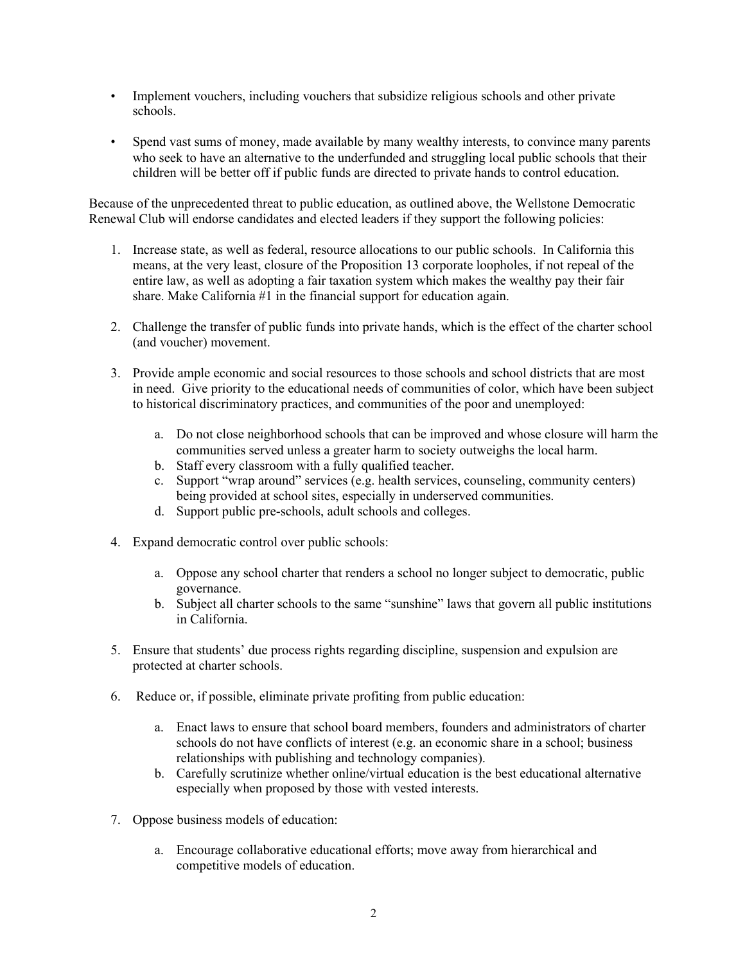- Implement vouchers, including vouchers that subsidize religious schools and other private schools.
- Spend vast sums of money, made available by many wealthy interests, to convince many parents who seek to have an alternative to the underfunded and struggling local public schools that their children will be better off if public funds are directed to private hands to control education.

Because of the unprecedented threat to public education, as outlined above, the Wellstone Democratic Renewal Club will endorse candidates and elected leaders if they support the following policies:

- 1. Increase state, as well as federal, resource allocations to our public schools. In California this means, at the very least, closure of the Proposition 13 corporate loopholes, if not repeal of the entire law, as well as adopting a fair taxation system which makes the wealthy pay their fair share. Make California #1 in the financial support for education again.
- 2. Challenge the transfer of public funds into private hands, which is the effect of the charter school (and voucher) movement.
- 3. Provide ample economic and social resources to those schools and school districts that are most in need. Give priority to the educational needs of communities of color, which have been subject to historical discriminatory practices, and communities of the poor and unemployed:
	- a. Do not close neighborhood schools that can be improved and whose closure will harm the communities served unless a greater harm to society outweighs the local harm.
	- b. Staff every classroom with a fully qualified teacher.
	- c. Support "wrap around" services (e.g. health services, counseling, community centers) being provided at school sites, especially in underserved communities.
	- d. Support public pre-schools, adult schools and colleges.
- 4. Expand democratic control over public schools:
	- a. Oppose any school charter that renders a school no longer subject to democratic, public governance.
	- b. Subject all charter schools to the same "sunshine" laws that govern all public institutions in California.
- 5. Ensure that students' due process rights regarding discipline, suspension and expulsion are protected at charter schools.
- 6. Reduce or, if possible, eliminate private profiting from public education:
	- a. Enact laws to ensure that school board members, founders and administrators of charter schools do not have conflicts of interest (e.g. an economic share in a school; business relationships with publishing and technology companies).
	- b. Carefully scrutinize whether online/virtual education is the best educational alternative especially when proposed by those with vested interests.
- 7. Oppose business models of education:
	- a. Encourage collaborative educational efforts; move away from hierarchical and competitive models of education.